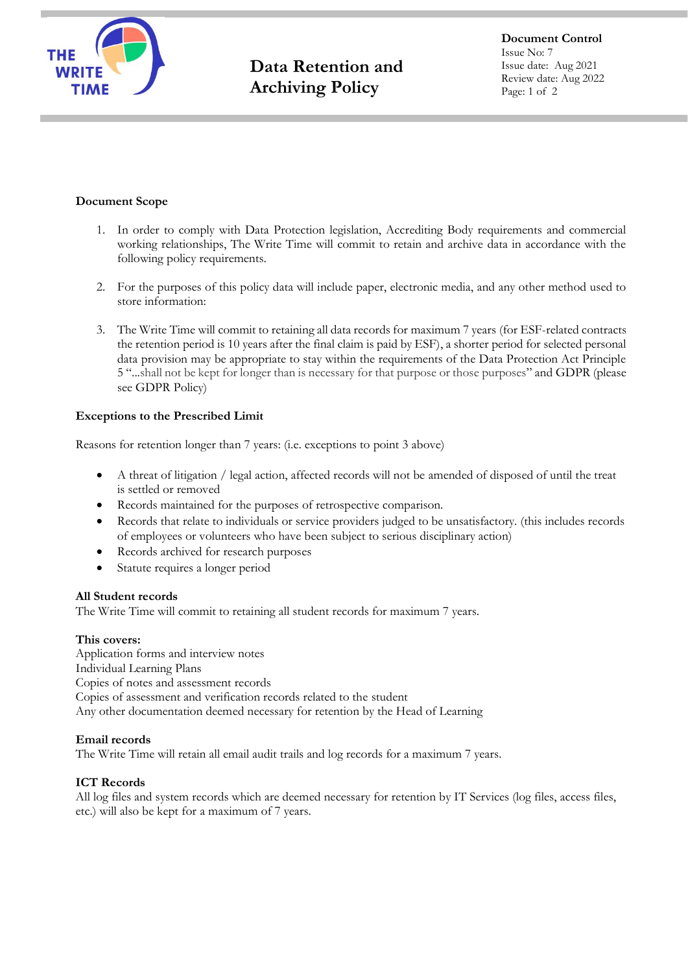

# **Data Retention and Archiving Policy**

**Document Control** Issue No: 7 Issue date: Aug 2021 Review date: Aug 2022 Page: 1 of 2

# **Document Scope**

- 1. In order to comply with Data Protection legislation, Accrediting Body requirements and commercial working relationships, The Write Time will commit to retain and archive data in accordance with the following policy requirements.
- 2. For the purposes of this policy data will include paper, electronic media, and any other method used to store information:
- 3. The Write Time will commit to retaining all data records for maximum 7 years (for ESF-related contracts the retention period is 10 years after the final claim is paid by ESF), a shorter period for selected personal data provision may be appropriate to stay within the requirements of the Data Protection Act Principle 5 "...shall not be kept for longer than is necessary for that purpose or those purposes" and GDPR (please see GDPR Policy)

# **Exceptions to the Prescribed Limit**

Reasons for retention longer than 7 years: (i.e. exceptions to point 3 above)

- A threat of litigation / legal action, affected records will not be amended of disposed of until the treat is settled or removed
- Records maintained for the purposes of retrospective comparison.
- Records that relate to individuals or service providers judged to be unsatisfactory. (this includes records of employees or volunteers who have been subject to serious disciplinary action)
- Records archived for research purposes
- Statute requires a longer period

### **All Student records**

The Write Time will commit to retaining all student records for maximum 7 years.

### **This covers:**

Application forms and interview notes Individual Learning Plans Copies of notes and assessment records Copies of assessment and verification records related to the student Any other documentation deemed necessary for retention by the Head of Learning

### **Email records**

The Write Time will retain all email audit trails and log records for a maximum 7 years.

# **ICT Records**

All log files and system records which are deemed necessary for retention by IT Services (log files, access files, etc.) will also be kept for a maximum of 7 years.